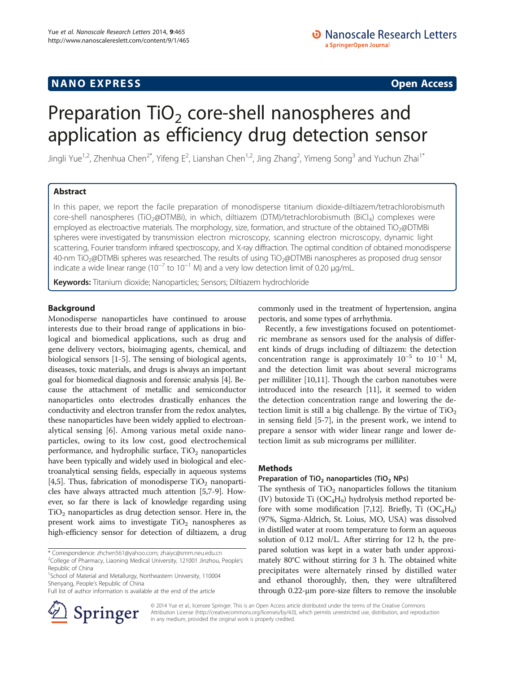# **NANO EXPRESS** Open Access **CONSTRUCTER**

# Preparation  $TiO<sub>2</sub>$  core-shell nanospheres and application as efficiency drug detection sensor

Jingli Yue<sup>1,2</sup>, Zhenhua Chen<sup>2\*</sup>, Yifeng E<sup>2</sup>, Lianshan Chen<sup>1,2</sup>, Jing Zhang<sup>2</sup>, Yimeng Song<sup>3</sup> and Yuchun Zhai<sup>1\*</sup>

# Abstract

In this paper, we report the facile preparation of monodisperse titanium dioxide-diltiazem/tetrachlorobismuth core-shell nanospheres (TiO<sub>2</sub>@DTMBi), in which, diltiazem (DTM)/tetrachlorobismuth (BiCl<sub>4</sub>) complexes were employed as electroactive materials. The morphology, size, formation, and structure of the obtained TiO<sub>2</sub>@DTMBi spheres were investigated by transmission electron microscopy, scanning electron microscopy, dynamic light scattering, Fourier transform infrared spectroscopy, and X-ray diffraction. The optimal condition of obtained monodisperse 40-nm TiO2@DTMBi spheres was researched. The results of using TiO2@DTMBi nanospheres as proposed drug sensor indicate a wide linear range ( $10^{-7}$  to  $10^{-1}$  M) and a very low detection limit of 0.20  $\mu$ g/mL.

Keywords: Titanium dioxide; Nanoparticles; Sensors; Diltiazem hydrochloride

# Background

Monodisperse nanoparticles have continued to arouse interests due to their broad range of applications in biological and biomedical applications, such as drug and gene delivery vectors, bioimaging agents, chemical, and biological sensors [[1-5](#page-4-0)]. The sensing of biological agents, diseases, toxic materials, and drugs is always an important goal for biomedical diagnosis and forensic analysis [\[4](#page-4-0)]. Because the attachment of metallic and semiconductor nanoparticles onto electrodes drastically enhances the conductivity and electron transfer from the redox analytes, these nanoparticles have been widely applied to electroanalytical sensing [\[6](#page-4-0)]. Among various metal oxide nanoparticles, owing to its low cost, good electrochemical performance, and hydrophilic surface,  $TiO<sub>2</sub>$  nanoparticles have been typically and widely used in biological and electroanalytical sensing fields, especially in aqueous systems [[4,5](#page-4-0)]. Thus, fabrication of monodisperse  $TiO<sub>2</sub>$  nanoparticles have always attracted much attention [\[5,7-9](#page-4-0)]. However, so far there is lack of knowledge regarding using  $TiO<sub>2</sub>$  nanoparticles as drug detection sensor. Here in, the present work aims to investigate  $TiO<sub>2</sub>$  nanospheres as high-efficiency sensor for detection of diltiazem, a drug

commonly used in the treatment of hypertension, angina pectoris, and some types of arrhythmia.

Recently, a few investigations focused on potentiometric membrane as sensors used for the analysis of different kinds of drugs including of diltiazem: the detection concentration range is approximately  $10^{-5}$  to  $10^{-1}$  M, and the detection limit was about several micrograms per milliliter [[10,11\]](#page-4-0). Though the carbon nanotubes were introduced into the research [\[11\]](#page-4-0), it seemed to widen the detection concentration range and lowering the detection limit is still a big challenge. By the virtue of  $TiO<sub>2</sub>$ in sensing field [[5-7\]](#page-4-0), in the present work, we intend to prepare a sensor with wider linear range and lower detection limit as sub micrograms per milliliter.

## Methods

## Preparation of  $TiO<sub>2</sub>$  nanoparticles (TiO<sub>2</sub> NPs)

The synthesis of  $TiO<sub>2</sub>$  nanoparticles follows the titanium (IV) butoxide Ti  $(OC_4H_9)$  hydrolysis method reported be-fore with some modification [[7](#page-4-0)[,12](#page-5-0)]. Briefly, Ti  $(OC_4H_9)$ (97%, Sigma-Aldrich, St. Loius, MO, USA) was dissolved in distilled water at room temperature to form an aqueous solution of 0.12 mol/L. After stirring for 12 h, the prepared solution was kept in a water bath under approximately 80°C without stirring for 3 h. The obtained white precipitates were alternately rinsed by distilled water and ethanol thoroughly, then, they were ultrafiltered through 0.22-μm pore-size filters to remove the insoluble

© 2014 Yue et al.; licensee Springer. This is an Open Access article distributed under the terms of the Creative Commons Attribution License [\(http://creativecommons.org/licenses/by/4.0\)](http://creativecommons.org/licenses/by/4.0), which permits unrestricted use, distribution, and reproduction in any medium, provided the original work is properly credited.

<sup>\*</sup> Correspondence: [zhchen561@yahoo.com;](mailto:zhchen561@yahoo.com) [zhaiyc@smm.neu.edu.cn](mailto:zhaiyc@smm.neu.edu.cn) <sup>2</sup>

<sup>&</sup>lt;sup>2</sup>College of Pharmacy, Liaoning Medical University, 121001 Jinzhou, People's Republic of China <sup>1</sup>School of Material and Metallurgy, Northeastern University, 110004

Shenyang, People's Republic of China Full list of author information is available at the end of the article

Springer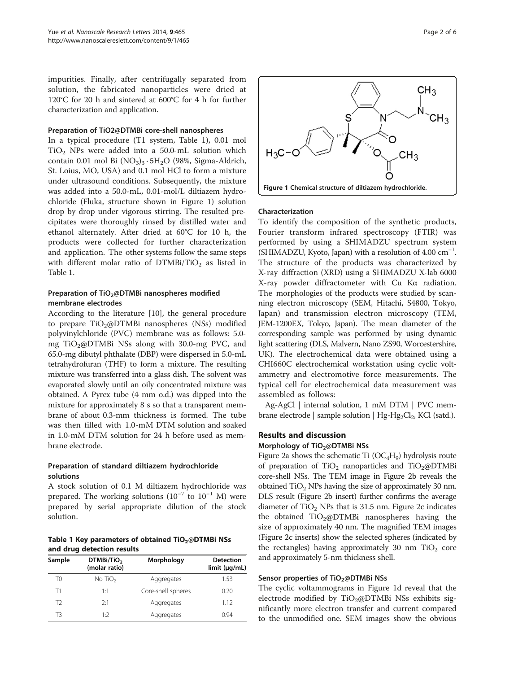<span id="page-1-0"></span>impurities. Finally, after centrifugally separated from solution, the fabricated nanoparticles were dried at 120°C for 20 h and sintered at 600°C for 4 h for further characterization and application.

#### Preparation of TiO2@DTMBi core-shell nanospheres

In a typical procedure (T1 system, Table 1), 0.01 mol  $TiO<sub>2</sub>$  NPs were added into a 50.0-mL solution which contain 0.01 mol Bi  $(NO<sub>3</sub>)<sub>3</sub> \cdot 5H<sub>2</sub>O$  (98%, Sigma-Aldrich, St. Loius, MO, USA) and 0.1 mol HCl to form a mixture under ultrasound conditions. Subsequently, the mixture was added into a 50.0-mL, 0.01-mol/L diltiazem hydrochloride (Fluka, structure shown in Figure 1) solution drop by drop under vigorous stirring. The resulted precipitates were thoroughly rinsed by distilled water and ethanol alternately. After dried at 60°C for 10 h, the products were collected for further characterization and application. The other systems follow the same steps with different molar ratio of  $DTMBi/TiO<sub>2</sub>$  as listed in Table 1.

## Preparation of TiO<sub>2</sub>@DTMBi nanospheres modified membrane electrodes

According to the literature [\[10](#page-4-0)], the general procedure to prepare TiO<sub>2</sub>@DTMBi nanospheres (NSs) modified polyvinylchloride (PVC) membrane was as follows: 5.0 mg TiO2@DTMBi NSs along with 30.0-mg PVC, and 65.0-mg dibutyl phthalate (DBP) were dispersed in 5.0-mL tetrahydrofuran (THF) to form a mixture. The resulting mixture was transferred into a glass dish. The solvent was evaporated slowly until an oily concentrated mixture was obtained. A Pyrex tube (4 mm o.d.) was dipped into the mixture for approximately 8 s so that a transparent membrane of about 0.3-mm thickness is formed. The tube was then filled with 1.0-mM DTM solution and soaked in 1.0-mM DTM solution for 24 h before used as membrane electrode.

## Preparation of standard diltiazem hydrochloride solutions

A stock solution of 0.1 M diltiazem hydrochloride was prepared. The working solutions  $(10^{-7}$  to  $10^{-1}$  M) were prepared by serial appropriate dilution of the stock solution.

Table 1 Key parameters of obtained  $TiO<sub>2</sub>@DTMBi$  NSs and drug detection results

| Sample | DTMBi/TiO <sub>2</sub><br>(molar ratio) | Morphology         | <b>Detection</b><br>limit (µq/mL) |
|--------|-----------------------------------------|--------------------|-----------------------------------|
| T0     | No $TiO2$                               | Aggregates         | 1.53                              |
| Τ1     | 1:1                                     | Core-shell spheres | 0.20                              |
| T2     | 2.1                                     | Aggregates         | 1.12                              |
| T3     | 1.2                                     | Aggregates         | O 94                              |



#### Characterization

To identify the composition of the synthetic products, Fourier transform infrared spectroscopy (FTIR) was performed by using a SHIMADZU spectrum system (SHIMADZU, Kyoto, Japan) with a resolution of 4.00 cm−<sup>1</sup> . The structure of the products was characterized by X-ray diffraction (XRD) using a SHIMADZU X-lab 6000 X-ray powder diffractometer with Cu Kα radiation. The morphologies of the products were studied by scanning electron microscopy (SEM, Hitachi, S4800, Tokyo, Japan) and transmission electron microscopy (TEM, JEM-1200EX, Tokyo, Japan). The mean diameter of the corresponding sample was performed by using dynamic light scattering (DLS, Malvern, Nano ZS90, Worcestershire, UK). The electrochemical data were obtained using a CHI660C electrochemical workstation using cyclic voltammetry and electromotive force measurements. The typical cell for electrochemical data measurement was assembled as follows:

Ag-AgCl | internal solution, 1 mM DTM | PVC membrane electrode | sample solution | Hg-Hg<sub>2</sub>Cl<sub>2</sub>, KCl (satd.).

# Results and discussion

Morphology of TiO<sub>2</sub>@DTMBi NSs

Figure [2a](#page-2-0) shows the schematic Ti  $(OC_4H_9)$  hydrolysis route of preparation of  $TiO<sub>2</sub>$  nanoparticles and  $TiO<sub>2</sub>@DTMBi$ core-shell NSs. The TEM image in Figure [2](#page-2-0)b reveals the obtained  $TiO<sub>2</sub>$  NPs having the size of approximately 30 nm. DLS result (Figure [2](#page-2-0)b insert) further confirms the average diameter of  $TiO<sub>2</sub>$  NPs that is 31.5 nm. Figure [2](#page-2-0)c indicates the obtained  $TiO<sub>2</sub>@DTMBi$  nanospheres having the size of approximately 40 nm. The magnified TEM images (Figure [2c](#page-2-0) inserts) show the selected spheres (indicated by the rectangles) having approximately 30 nm  $TiO<sub>2</sub>$  core and approximately 5-nm thickness shell.

#### Sensor properties of TiO<sub>2</sub>@DTMBi NSs

The cyclic voltammograms in Figure 1d reveal that the electrode modified by  $TiO<sub>2</sub>@DTMBi$  NSs exhibits significantly more electron transfer and current compared to the unmodified one. SEM images show the obvious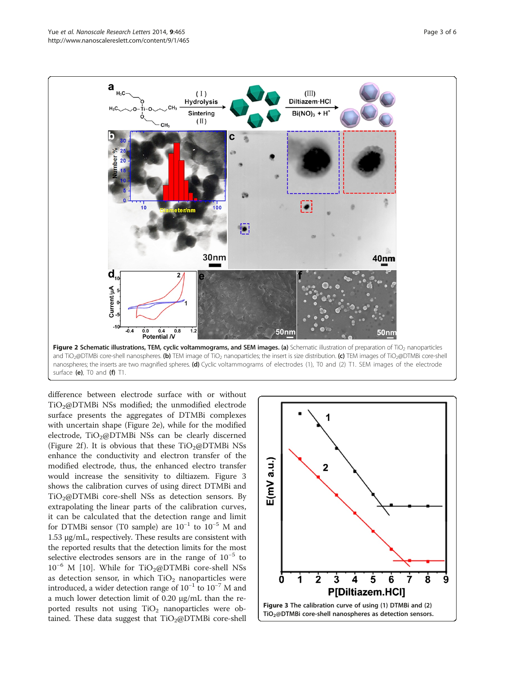<span id="page-2-0"></span>

and TiO<sub>2</sub>@DTMBi core-shell nanospheres. (b) TEM image of TiO<sub>2</sub> nanoparticles; the insert is size distribution. (c) TEM images of TiO<sub>2</sub>@DTMBi core-shell nanospheres; the inserts are two magnified spheres. (d) Cyclic voltammograms of electrodes (1), T0 and (2) T1. SEM images of the electrode surface (e), T0 and (f) T1.

difference between electrode surface with or without TiO<sub>2</sub>@DTMBi NSs modified; the unmodified electrode surface presents the aggregates of DTMBi complexes with uncertain shape (Figure 2e), while for the modified electrode,  $TiO<sub>2</sub>@DTMBi$  NSs can be clearly discerned (Figure 2f). It is obvious that these  $TiO<sub>2</sub>(QDTMBi NSs)$ enhance the conductivity and electron transfer of the modified electrode, thus, the enhanced electro transfer would increase the sensitivity to diltiazem. Figure 3 shows the calibration curves of using direct DTMBi and TiO<sub>2</sub>@DTMBi core-shell NSs as detection sensors. By extrapolating the linear parts of the calibration curves, it can be calculated that the detection range and limit for DTMBi sensor (T0 sample) are  $10^{-1}$  to  $10^{-5}$  M and 1.53 μg/mL, respectively. These results are consistent with the reported results that the detection limits for the most selective electrodes sensors are in the range of 10−<sup>5</sup> to  $10^{-6}$  M [[10\]](#page-4-0). While for TiO<sub>2</sub>@DTMBi core-shell NSs as detection sensor, in which  $TiO<sub>2</sub>$  nanoparticles were introduced, a wider detection range of  $10^{-1}$  to  $10^{-7}$  M and a much lower detection limit of 0.20 μg/mL than the reported results not using  $TiO<sub>2</sub>$  nanoparticles were obtained. These data suggest that  $TiO<sub>2</sub>@DTMBi$  core-shell

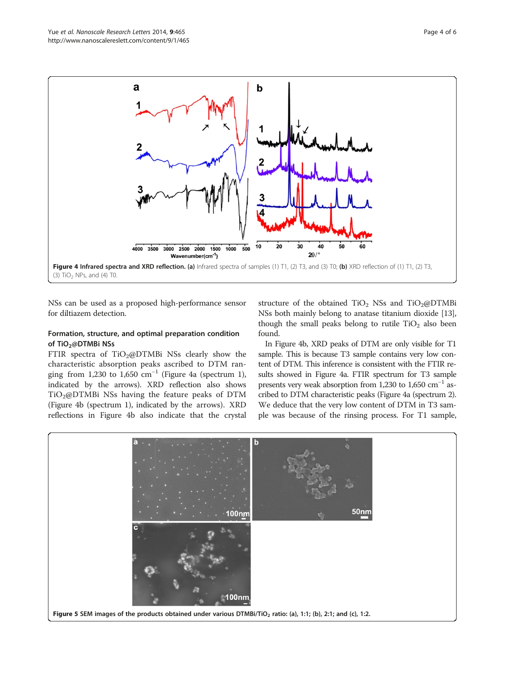<span id="page-3-0"></span>

NSs can be used as a proposed high-performance sensor for diltiazem detection.

# Formation, structure, and optimal preparation condition of TiO<sub>2</sub>@DTMBi NSs

FTIR spectra of  $TiO<sub>2</sub>@DTMBi$  NSs clearly show the characteristic absorption peaks ascribed to DTM ranging from 1,230 to 1,650 cm<sup>-1</sup> (Figure 4a (spectrum 1), indicated by the arrows). XRD reflection also shows  $TiO<sub>2</sub>@DTMBi$  NSs having the feature peaks of DTM (Figure 4b (spectrum 1), indicated by the arrows). XRD reflections in Figure 4b also indicate that the crystal

structure of the obtained  $TiO<sub>2</sub>$  NSs and  $TiO<sub>2</sub>@DTMBi$ NSs both mainly belong to anatase titanium dioxide [[13](#page-5-0)], though the small peaks belong to rutile  $TiO<sub>2</sub>$  also been found.

In Figure 4b, XRD peaks of DTM are only visible for T1 sample. This is because T3 sample contains very low content of DTM. This inference is consistent with the FTIR results showed in Figure 4a. FTIR spectrum for T3 sample presents very weak absorption from 1,230 to 1,650  $\text{cm}^{-1}$  ascribed to DTM characteristic peaks (Figure 4a (spectrum 2). We deduce that the very low content of DTM in T3 sample was because of the rinsing process. For T1 sample,

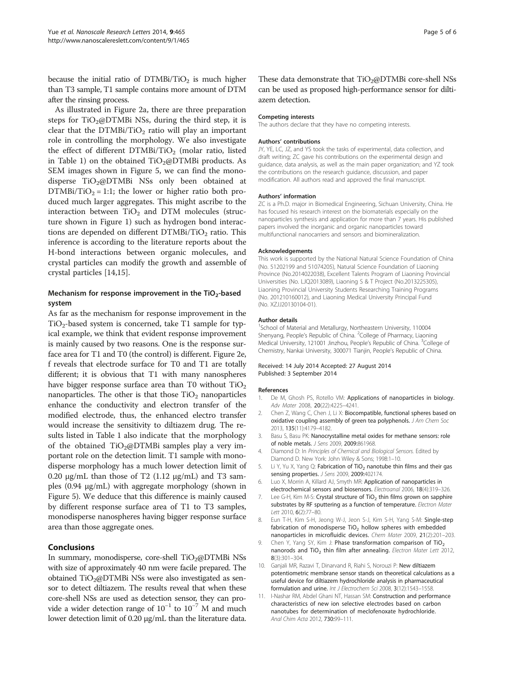<span id="page-4-0"></span>because the initial ratio of  $DTMBi/TiO<sub>2</sub>$  is much higher than T3 sample, T1 sample contains more amount of DTM after the rinsing process.

As illustrated in Figure [2a](#page-2-0), there are three preparation steps for  $TiO_2@DTMBi$  NSs, during the third step, it is clear that the  $DTMBi/TiO<sub>2</sub>$  ratio will play an important role in controlling the morphology. We also investigate the effect of different  $DTMBi/TiO<sub>2</sub>$  (molar ratio, listed in Table [1\)](#page-1-0) on the obtained  $TiO<sub>2</sub>@DTMBi$  products. As SEM images shown in Figure [5](#page-3-0), we can find the monodisperse  $TiO<sub>2</sub>@DTMBi$  NSs only been obtained at  $DTMBi/TiO<sub>2</sub> = 1:1$ ; the lower or higher ratio both produced much larger aggregates. This might ascribe to the interaction between  $TiO<sub>2</sub>$  and DTM molecules (structure shown in Figure [1](#page-1-0)) such as hydrogen bond interactions are depended on different  $DTMBi/TiO<sub>2</sub>$  ratio. This inference is according to the literature reports about the H-bond interactions between organic molecules, and crystal particles can modify the growth and assemble of crystal particles [\[14,15](#page-5-0)].

# Mechanism for response improvement in the  $TiO<sub>2</sub>$ -based system

As far as the mechanism for response improvement in the TiO<sub>2</sub>-based system is concerned, take T1 sample for typical example, we think that evident response improvement is mainly caused by two reasons. One is the response surface area for T1 and T0 (the control) is different. Figure [2](#page-2-0)e, f reveals that electrode surface for T0 and T1 are totally different; it is obvious that T1 with many nanospheres have bigger response surface area than T0 without  $TiO<sub>2</sub>$ nanoparticles. The other is that those  $TiO<sub>2</sub>$  nanoparticles enhance the conductivity and electron transfer of the modified electrode, thus, the enhanced electro transfer would increase the sensitivity to diltiazem drug. The results listed in Table [1](#page-1-0) also indicate that the morphology of the obtained  $TiO<sub>2</sub>(QDTMBi)$  samples play a very important role on the detection limit. T1 sample with monodisperse morphology has a much lower detection limit of 0.20  $\mu$ g/mL than those of T2 (1.12  $\mu$ g/mL) and T3 samples (0.94 μg/mL) with aggregate morphology (shown in Figure [5\)](#page-3-0). We deduce that this difference is mainly caused by different response surface area of T1 to T3 samples, monodisperse nanospheres having bigger response surface area than those aggregate ones.

## **Conclusions**

In summary, monodisperse, core-shell  $TiO<sub>2</sub>@DTMBi$  NSs with size of approximately 40 nm were facile prepared. The obtained  $TiO<sub>2</sub>@DTMBi$  NSs were also investigated as sensor to detect diltiazem. The results reveal that when these core-shell NSs are used as detection sensor, they can provide a wider detection range of  $10^{-1}$  to  $10^{-7}$  M and much lower detection limit of 0.20 μg/mL than the literature data. These data demonstrate that  $TiO<sub>2</sub>(QDTMBi)$  core-shell NSs can be used as proposed high-performance sensor for diltiazem detection.

#### Competing interests

The authors declare that they have no competing interests.

#### Authors' contributions

JY, YE, LC, JZ, and YS took the tasks of experimental, data collection, and draft writing; ZC gave his contributions on the experimental design and guidance, data analysis, as well as the main paper organization; and YZ took the contributions on the research guidance, discussion, and paper modification. All authors read and approved the final manuscript.

#### Authors' information

ZC is a Ph.D. major in Biomedical Engineering, Sichuan University, China. He has focused his research interest on the biomaterials especially on the nanoparticles synthesis and application for more than 7 years. His published papers involved the inorganic and organic nanoparticles toward multifunctional nanocarriers and sensors and biomineralization.

#### Acknowledgements

This work is supported by the National Natural Science Foundation of China (No. 51202199 and 51074205), Natural Science Foundation of Liaoning Province (No.2014022038), Excellent Talents Program of Liaoning Provincial Universities (No. LJQ2013089), Liaoning S & T Project (No.2013225305), Liaoning Provincial University Students Researching Training Programs (No. 201210160012), and Liaoning Medical University Principal Fund (No. XZJJ20130104-01).

#### Author details

1 School of Material and Metallurgy, Northeastern University, 110004 Shenyang, People's Republic of China. <sup>2</sup>College of Pharmacy, Liaoning Medical University, 121001 Jinzhou, People's Republic of China. <sup>3</sup>College of Chemistry, Nankai University, 300071 Tianjin, People's Republic of China.

#### Received: 14 July 2014 Accepted: 27 August 2014 Published: 3 September 2014

#### References

- 1. De M, Ghosh PS, Rotello VM: Applications of nanoparticles in biology. Adv Mater 2008, 20(22):4225–4241.
- 2. Chen Z, Wang C, Chen J, Li X: Biocompatible, functional spheres based on oxidative coupling assembly of green tea polyphenols. J Am Chem Soc 2013, 135(11):4179–4182.
- 3. Basu S, Basu PK: Nanocrystalline metal oxides for methane sensors: role of noble metals. J Sens 2009, 2009:861968.
- 4. Diamond D: In Principles of Chemical and Biological Sensors. Edited by Diamond D. New York: John Wiley & Sons; 1998:1–10.
- 5. Li Y, Yu X, Yang Q: Fabrication of TiO<sub>2</sub> nanotube thin films and their gas sensing properties. *J Sens* 2009, 2009:402174.
- 6. Luo X, Morrin A, Killard AJ, Smyth MR: Application of nanoparticles in electrochemical sensors and biosensors. Electroanal 2006, 18(4):319–326.
- 7. Lee G-H, Kim M-S: Crystal structure of  $TiO<sub>2</sub>$  thin films grown on sapphire substrates by RF sputtering as a function of temperature. Electron Mater Lett 2010, 6(2):77–80.
- 8. Eun T-H, Kim S-H, Jeong W-J, Jeon S-J, Kim S-H, Yang S-M: Single-step fabrication of monodisperse  $TiO<sub>2</sub>$  hollow spheres with embedded nanoparticles in microfluidic devices. Chem Mater 2009, 21(2):201–203.
- 9. Chen Y, Yang SY, Kim J: Phase transformation comparison of  $TiO<sub>2</sub>$ nanorods and  $TiO<sub>2</sub>$  thin film after annealing. Electron Mater Lett 2012, 8(3):301–304.
- 10. Ganjali MR, Razavi T, Dinarvand R, Riahi S, Norouzi P: New diltiazem potentiometric membrane sensor stands on theoretical calculations as a useful device for diltiazem hydrochloride analysis in pharmaceutical formulation and urine. Int J Electrochem Sci 2008, 3(12):1543–1558.
- 11. I-Nashar RM, Abdel Ghani NT, Hassan SM: Construction and performance characteristics of new ion selective electrodes based on carbon nanotubes for determination of meclofenoxate hydrochloride. Anal Chim Acta 2012, 730:99–111.